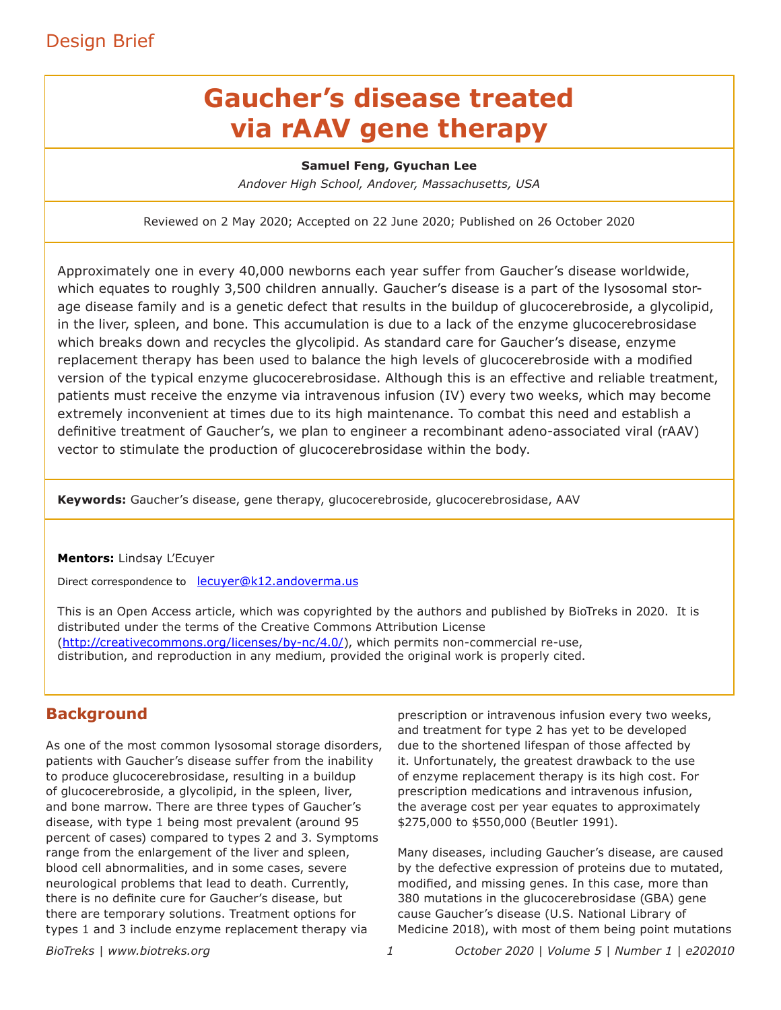## Design Brief

# **Gaucher's disease treated via rAAV gene therapy**

#### **Samuel Feng, Gyuchan Lee**

*Andover High School, Andover, Massachusetts, USA*

Reviewed on 2 May 2020; Accepted on 22 June 2020; Published on 26 October 2020

Approximately one in every 40,000 newborns each year suffer from Gaucher's disease worldwide, which equates to roughly 3,500 children annually. Gaucher's disease is a part of the lysosomal storage disease family and is a genetic defect that results in the buildup of glucocerebroside, a glycolipid, in the liver, spleen, and bone. This accumulation is due to a lack of the enzyme glucocerebrosidase which breaks down and recycles the glycolipid. As standard care for Gaucher's disease, enzyme replacement therapy has been used to balance the high levels of glucocerebroside with a modified version of the typical enzyme glucocerebrosidase. Although this is an effective and reliable treatment, patients must receive the enzyme via intravenous infusion (IV) every two weeks, which may become extremely inconvenient at times due to its high maintenance. To combat this need and establish a definitive treatment of Gaucher's, we plan to engineer a recombinant adeno-associated viral (rAAV) vector to stimulate the production of glucocerebrosidase within the body.

**Keywords:** Gaucher's disease, gene therapy, glucocerebroside, glucocerebrosidase, AAV

#### **Mentors:** Lindsay L'Ecuyer

Direct correspondence to lecuyer@k12.andoverma.us

This is an Open Access article, which was copyrighted by the authors and published by BioTreks in 2020. It is distributed under the terms of the Creative Commons Attribution License (http://creativecommons.org/licenses/by-nc/4.0/), which permits non-commercial re-use, distribution, and reproduction in any medium, provided the original work is properly cited.

#### **Background**

As one of the most common lysosomal storage disorders, patients with Gaucher's disease suffer from the inability to produce glucocerebrosidase, resulting in a buildup of glucocerebroside, a glycolipid, in the spleen, liver, and bone marrow. There are three types of Gaucher's disease, with type 1 being most prevalent (around 95 percent of cases) compared to types 2 and 3. Symptoms range from the enlargement of the liver and spleen, blood cell abnormalities, and in some cases, severe neurological problems that lead to death. Currently, there is no definite cure for Gaucher's disease, but there are temporary solutions. Treatment options for types 1 and 3 include enzyme replacement therapy via

prescription or intravenous infusion every two weeks, and treatment for type 2 has yet to be developed due to the shortened lifespan of those affected by it. Unfortunately, the greatest drawback to the use of enzyme replacement therapy is its high cost. For prescription medications and intravenous infusion, the average cost per year equates to approximately \$275,000 to \$550,000 (Beutler 1991).

Many diseases, including Gaucher's disease, are caused by the defective expression of proteins due to mutated, modified, and missing genes. In this case, more than 380 mutations in the glucocerebrosidase (GBA) gene cause Gaucher's disease (U.S. National Library of Medicine 2018), with most of them being point mutations

*BioTreks | www.biotreks.org October 2020 | Volume 5 | Number 1 | e202010*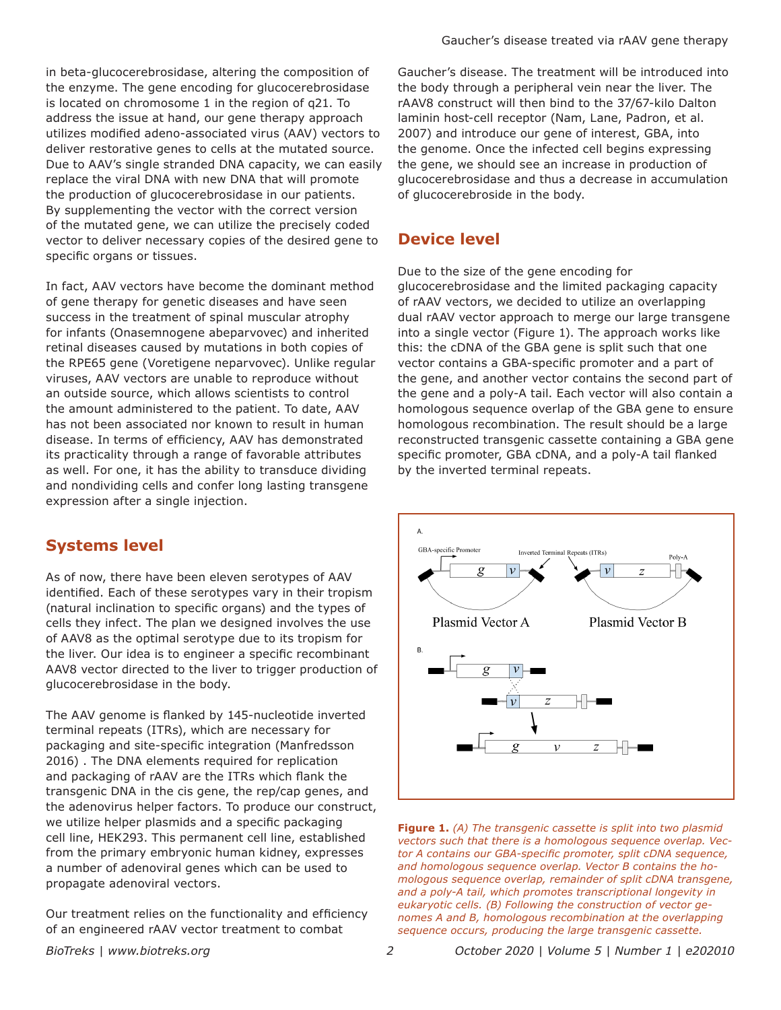in beta-glucocerebrosidase, altering the composition of the enzyme. The gene encoding for glucocerebrosidase is located on chromosome 1 in the region of q21. To address the issue at hand, our gene therapy approach utilizes modified adeno-associated virus (AAV) vectors to deliver restorative genes to cells at the mutated source. Due to AAV's single stranded DNA capacity, we can easily replace the viral DNA with new DNA that will promote the production of glucocerebrosidase in our patients. By supplementing the vector with the correct version of the mutated gene, we can utilize the precisely coded vector to deliver necessary copies of the desired gene to specific organs or tissues.

In fact, AAV vectors have become the dominant method of gene therapy for genetic diseases and have seen success in the treatment of spinal muscular atrophy for infants (Onasemnogene abeparvovec) and inherited retinal diseases caused by mutations in both copies of the RPE65 gene (Voretigene neparvovec). Unlike regular viruses, AAV vectors are unable to reproduce without an outside source, which allows scientists to control the amount administered to the patient. To date, AAV has not been associated nor known to result in human disease. In terms of efficiency, AAV has demonstrated its practicality through a range of favorable attributes as well. For one, it has the ability to transduce dividing and nondividing cells and confer long lasting transgene expression after a single injection.

### **Systems level**

As of now, there have been eleven serotypes of AAV identified. Each of these serotypes vary in their tropism (natural inclination to specific organs) and the types of cells they infect. The plan we designed involves the use of AAV8 as the optimal serotype due to its tropism for the liver. Our idea is to engineer a specific recombinant AAV8 vector directed to the liver to trigger production of glucocerebrosidase in the body.

The AAV genome is flanked by 145-nucleotide inverted terminal repeats (ITRs), which are necessary for packaging and site-specific integration (Manfredsson 2016) . The DNA elements required for replication and packaging of rAAV are the ITRs which flank the transgenic DNA in the cis gene, the rep/cap genes, and the adenovirus helper factors. To produce our construct, we utilize helper plasmids and a specific packaging cell line, HEK293. This permanent cell line, established from the primary embryonic human kidney, expresses a number of adenoviral genes which can be used to propagate adenoviral vectors.

Our treatment relies on the functionality and efficiency of an engineered rAAV vector treatment to combat

Gaucher's disease. The treatment will be introduced into the body through a peripheral vein near the liver. The rAAV8 construct will then bind to the 37/67-kilo Dalton laminin host-cell receptor (Nam, Lane, Padron, et al. 2007) and introduce our gene of interest, GBA, into the genome. Once the infected cell begins expressing the gene, we should see an increase in production of glucocerebrosidase and thus a decrease in accumulation of glucocerebroside in the body.

#### **Device level**

Due to the size of the gene encoding for glucocerebrosidase and the limited packaging capacity of rAAV vectors, we decided to utilize an overlapping dual rAAV vector approach to merge our large transgene into a single vector (Figure 1). The approach works like this: the cDNA of the GBA gene is split such that one vector contains a GBA-specific promoter and a part of the gene, and another vector contains the second part of the gene and a poly-A tail. Each vector will also contain a homologous sequence overlap of the GBA gene to ensure homologous recombination. The result should be a large reconstructed transgenic cassette containing a GBA gene specific promoter, GBA cDNA, and a poly-A tail flanked by the inverted terminal repeats.





*BioTreks | www.biotreks.org October 2020 | Volume 5 | Number 1 | e202010*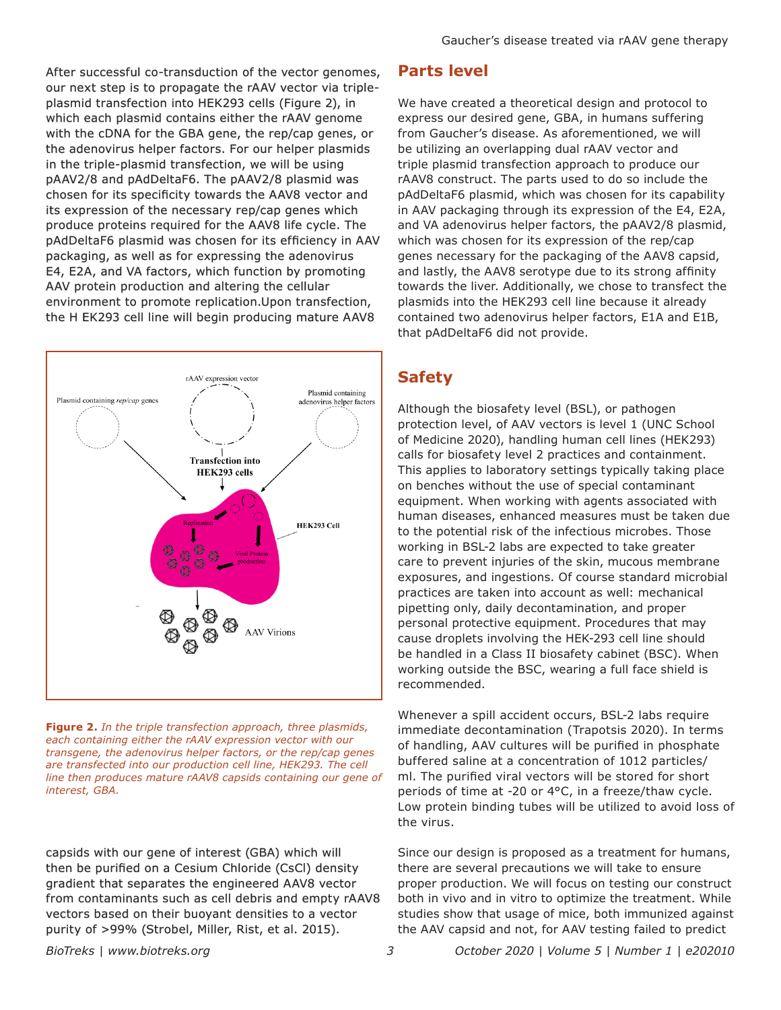After successful co-transduction of the vector genomes, our next step is to propagate the rAAV vector via tripleplasmid transfection into HEK293 cells (Figure 2), in which each plasmid contains either the rAAV genome with the cDNA for the GBA gene, the rep/cap genes, or the adenovirus helper factors. For our helper plasmids in the triple-plasmid transfection, we will be using pAAV2/8 and pAdDeltaF6. The pAAV2/8 plasmid was chosen for its specificity towards the AAV8 vector and its expression of the necessary rep/cap genes which produce proteins required for the AAV8 life cycle. The pAdDeltaF6 plasmid was chosen for its efficiency in AAV packaging, as well as for expressing the adenovirus E4, E2A, and VA factors, which function by promoting AAV protein production and altering the cellular environment to promote replication.Upon transfection, the H EK293 cell line will begin producing mature AAV8



**Figure 2.** *In the triple transfection approach, three plasmids, each containing either the rAAV expression vector with our transgene, the adenovirus helper factors, or the rep/cap genes are transfected into our production cell line, HEK293. The cell line then produces mature rAAV8 capsids containing our gene of interest, GBA.* 

capsids with our gene of interest (GBA) which will then be purified on a Cesium Chloride (CsCl) density gradient that separates the engineered AAV8 vector from contaminants such as cell debris and empty rAAV8 vectors based on their buoyant densities to a vector purity of >99% (Strobel, Miller, Rist, et al. 2015).

**Parts level**

We have created a theoretical design and protocol to express our desired gene, GBA, in humans suffering from Gaucher's disease. As aforementioned, we will be utilizing an overlapping dual rAAV vector and triple plasmid transfection approach to produce our rAAV8 construct. The parts used to do so include the pAdDeltaF6 plasmid, which was chosen for its capability in AAV packaging through its expression of the E4, E2A, and VA adenovirus helper factors, the pAAV2/8 plasmid, which was chosen for its expression of the rep/cap genes necessary for the packaging of the AAV8 capsid, and lastly, the AAV8 serotype due to its strong affinity towards the liver. Additionally, we chose to transfect the plasmids into the HEK293 cell line because it already contained two adenovirus helper factors, E1A and E1B, that pAdDeltaF6 did not provide.

### **Safety**

Although the biosafety level (BSL), or pathogen protection level, of AAV vectors is level 1 (UNC School of Medicine 2020), handling human cell lines (HEK293) calls for biosafety level 2 practices and containment. This applies to laboratory settings typically taking place on benches without the use of special contaminant equipment. When working with agents associated with human diseases, enhanced measures must be taken due to the potential risk of the infectious microbes. Those working in BSL-2 labs are expected to take greater care to prevent injuries of the skin, mucous membrane exposures, and ingestions. Of course standard microbial practices are taken into account as well: mechanical pipetting only, daily decontamination, and proper personal protective equipment. Procedures that may cause droplets involving the HEK-293 cell line should be handled in a Class II biosafety cabinet (BSC). When working outside the BSC, wearing a full face shield is recommended.

Whenever a spill accident occurs, BSL-2 labs require immediate decontamination (Trapotsis 2020). In terms of handling, AAV cultures will be purified in phosphate buffered saline at a concentration of 1012 particles/ ml. The purified viral vectors will be stored for short periods of time at -20 or 4°C, in a freeze/thaw cycle. Low protein binding tubes will be utilized to avoid loss of the virus.

Since our design is proposed as a treatment for humans, there are several precautions we will take to ensure proper production. We will focus on testing our construct both in vivo and in vitro to optimize the treatment. While studies show that usage of mice, both immunized against the AAV capsid and not, for AAV testing failed to predict

*BioTreks | www.biotreks.org October 2020 | Volume 5 | Number 1 | e202010*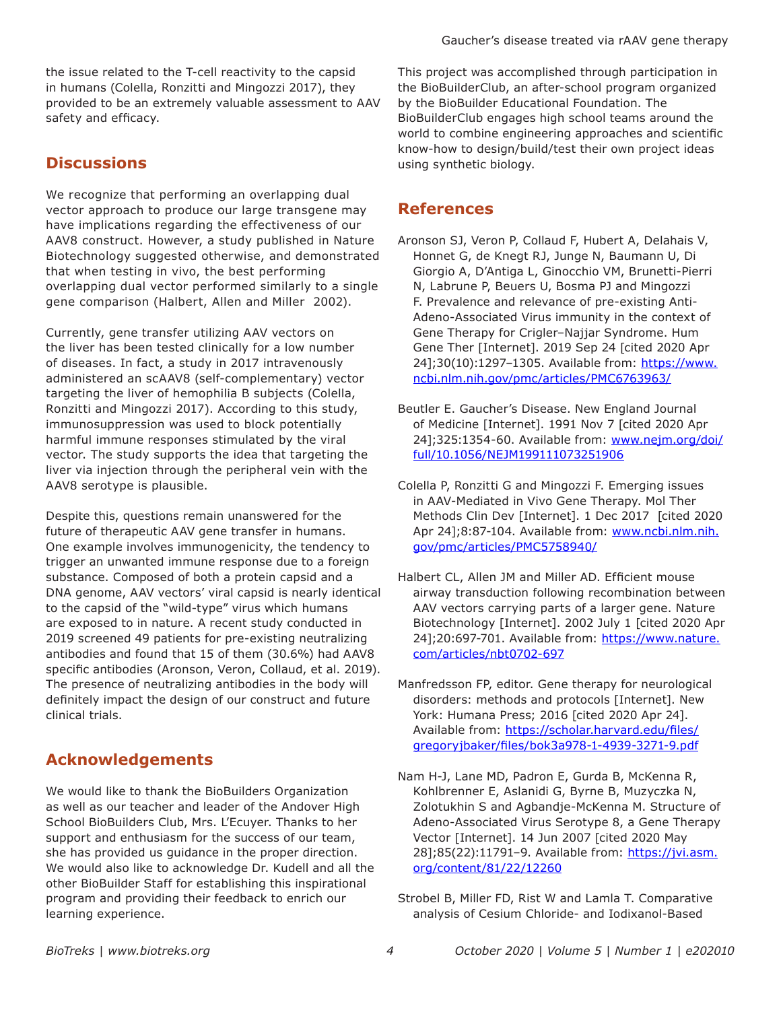the issue related to the T-cell reactivity to the capsid in humans (Colella, Ronzitti and Mingozzi 2017), they provided to be an extremely valuable assessment to AAV safety and efficacy.

#### **Discussions**

We recognize that performing an overlapping dual vector approach to produce our large transgene may have implications regarding the effectiveness of our AAV8 construct. However, a study published in Nature Biotechnology suggested otherwise, and demonstrated that when testing in vivo, the best performing overlapping dual vector performed similarly to a single gene comparison (Halbert, Allen and Miller 2002).

Currently, gene transfer utilizing AAV vectors on the liver has been tested clinically for a low number of diseases. In fact, a study in 2017 intravenously administered an scAAV8 (self-complementary) vector targeting the liver of hemophilia B subjects (Colella, Ronzitti and Mingozzi 2017). According to this study, immunosuppression was used to block potentially harmful immune responses stimulated by the viral vector. The study supports the idea that targeting the liver via injection through the peripheral vein with the AAV8 serotype is plausible.

Despite this, questions remain unanswered for the future of therapeutic AAV gene transfer in humans. One example involves immunogenicity, the tendency to trigger an unwanted immune response due to a foreign substance. Composed of both a protein capsid and a DNA genome, AAV vectors' viral capsid is nearly identical to the capsid of the "wild-type" virus which humans are exposed to in nature. A recent study conducted in 2019 screened 49 patients for pre-existing neutralizing antibodies and found that 15 of them (30.6%) had AAV8 specific antibodies (Aronson, Veron, Collaud, et al. 2019). The presence of neutralizing antibodies in the body will definitely impact the design of our construct and future clinical trials.

## **Acknowledgements**

We would like to thank the BioBuilders Organization as well as our teacher and leader of the Andover High School BioBuilders Club, Mrs. L'Ecuyer. Thanks to her support and enthusiasm for the success of our team, she has provided us guidance in the proper direction. We would also like to acknowledge Dr. Kudell and all the other BioBuilder Staff for establishing this inspirational program and providing their feedback to enrich our learning experience.

This project was accomplished through participation in the BioBuilderClub, an after-school program organized by the BioBuilder Educational Foundation. The BioBuilderClub engages high school teams around the world to combine engineering approaches and scientific know-how to design/build/test their own project ideas using synthetic biology.

## **References**

- Aronson SJ, Veron P, Collaud F, Hubert A, Delahais V, Honnet G, de Knegt RJ, Junge N, Baumann U, Di Giorgio A, D'Antiga L, Ginocchio VM, Brunetti-Pierri N, Labrune P, Beuers U, Bosma PJ and Mingozzi F. Prevalence and relevance of pre-existing Anti-Adeno-Associated Virus immunity in the context of Gene Therapy for Crigler–Najjar Syndrome. Hum Gene Ther [Internet]. 2019 Sep 24 [cited 2020 Apr 24];30(10):1297–1305. Available from: https://www. ncbi.nlm.nih.gov/pmc/articles/PMC6763963/
- Beutler E. Gaucher's Disease. New England Journal of Medicine [Internet]. 1991 Nov 7 [cited 2020 Apr 24];325:1354-60. Available from: www.nejm.org/doi/ full/10.1056/NEJM199111073251906
- Colella P, Ronzitti G and Mingozzi F. Emerging issues in AAV-Mediated in Vivo Gene Therapy. Mol Ther Methods Clin Dev [Internet]. 1 Dec 2017 [cited 2020 Apr 24];8:87-104. Available from: www.ncbi.nlm.nih. gov/pmc/articles/PMC5758940/
- Halbert CL, Allen JM and Miller AD. Efficient mouse airway transduction following recombination between AAV vectors carrying parts of a larger gene. Nature Biotechnology [Internet]. 2002 July 1 [cited 2020 Apr 24];20:697-701. Available from: https://www.nature. com/articles/nbt0702-697
- Manfredsson FP, editor. Gene therapy for neurological disorders: methods and protocols [Internet]. New York: Humana Press; 2016 [cited 2020 Apr 24]. Available from: https://scholar.harvard.edu/files/ gregoryjbaker/files/bok3a978-1-4939-3271-9.pdf
- Nam H-J, Lane MD, Padron E, Gurda B, McKenna R, Kohlbrenner E, Aslanidi G, Byrne B, Muzyczka N, Zolotukhin S and Agbandje-McKenna M. Structure of Adeno-Associated Virus Serotype 8, a Gene Therapy Vector [Internet]. 14 Jun 2007 [cited 2020 May 28];85(22):11791–9. Available from: https://jvi.asm. org/content/81/22/12260
- Strobel B, Miller FD, Rist W and Lamla T. Comparative analysis of Cesium Chloride- and Iodixanol-Based